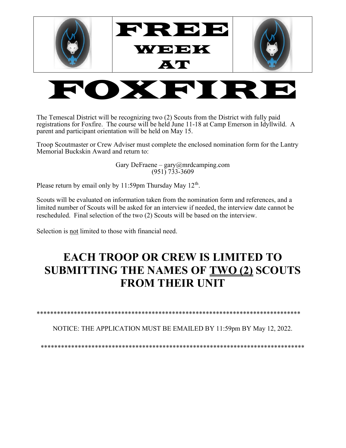

## OXFIRE

The Temescal District will be recognizing two (2) Scouts from the District with fully paid registrations for Foxfire. The course will be held June 11-18 at Camp Emerson in Idyllwild. A parent and participant orientation will be held on May 15.

Troop Scoutmaster or Crew Adviser must complete the enclosed nomination form for the Lantry Memorial Buckskin Award and return to:

> Gary DeFraene – gary@mrdcamping.com  $(951)$  733-3609

Please return by email only by  $11:59$ pm Thursday May  $12<sup>th</sup>$ .

Scouts will be evaluated on information taken from the nomination form and references, and a limited number of Scouts will be asked for an interview if needed, the interview date cannot be rescheduled. Final selection of the two (2) Scouts will be based on the interview.

Selection is not limited to those with financial need.

## EACH TROOP OR CREW IS LIMITED TO SUBMITTING THE NAMES OF TWO (2) SCOUTS FROM THEIR UNIT

\*\*\*\*\*\*\*\*\*\*\*\*\*\*\*\*\*\*\*\*\*\*\*\*\*\*\*\*\*\*\*\*\*\*\*\*\*\*\*\*\*\*\*\*\*\*\*\*\*\*\*\*\*\*\*\*\*\*\*\*\*\*\*\*\*\*\*\*\*\*\*\*\*\*\*\*\*\*

NOTICE: THE APPLICATION MUST BE EMAILED BY 11:59pm BY May 12, 2022.

\*\*\*\*\*\*\*\*\*\*\*\*\*\*\*\*\*\*\*\*\*\*\*\*\*\*\*\*\*\*\*\*\*\*\*\*\*\*\*\*\*\*\*\*\*\*\*\*\*\*\*\*\*\*\*\*\*\*\*\*\*\*\*\*\*\*\*\*\*\*\*\*\*\*\*\*\*\*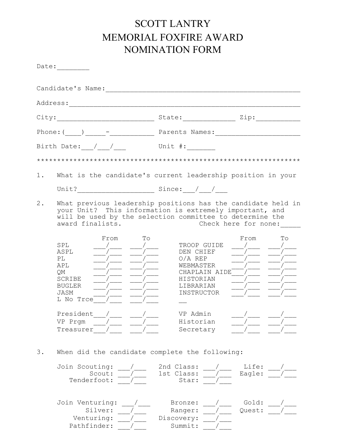## SCOTT LANTRY MEMORIAL FOXFIRE AWARD NOMINATION FORM

|       | Date:                                                                                 |                                                                                                                                                                                                             |
|-------|---------------------------------------------------------------------------------------|-------------------------------------------------------------------------------------------------------------------------------------------------------------------------------------------------------------|
|       | Candidate's Name: _______________                                                     |                                                                                                                                                                                                             |
|       |                                                                                       |                                                                                                                                                                                                             |
|       |                                                                                       |                                                                                                                                                                                                             |
|       |                                                                                       |                                                                                                                                                                                                             |
|       | Birth Date: / /                                                                       | Unit #:                                                                                                                                                                                                     |
|       |                                                                                       |                                                                                                                                                                                                             |
| 1.    |                                                                                       | What is the candidate's current leadership position in your                                                                                                                                                 |
| $2$ . | award finalists.                                                                      | What previous leadership positions has the candidate held in<br>your Unit? This information is extremely important, and<br>will be used by the selection committee to determine the<br>Check here for none: |
|       | To<br>From<br>SPL<br>ASPL<br>PL<br>APL<br>QM<br>SCRIBE<br>BUGLER<br>JASM<br>L No Trce | Tо<br>From<br>TROOP GUIDE<br>DEN CHIEF<br>$O/A$ REP<br>WEBMASTER<br>CHAPLAIN AIDE<br>HISTORIAN<br>LIBRARIAN<br>INSTRUCTOR                                                                                   |
|       | President<br>VP Prgm<br>Treasurer                                                     | VP Admin<br>Historian<br>Secretary                                                                                                                                                                          |
| 3.    | When did the candidate complete the following:                                        |                                                                                                                                                                                                             |
|       | Join Scouting:<br>Scout:<br>Tenderfoot:                                               | 2nd Class:<br>Life:<br>Eagle:<br>1st Class:<br>Star:                                                                                                                                                        |
|       | Join Venturing:<br>Silver:<br>Venturing:<br>Pathfinder:                               | Gold:<br>Bronze:<br>Quest:<br>Ranger:<br>Discovery:<br>Summit:                                                                                                                                              |